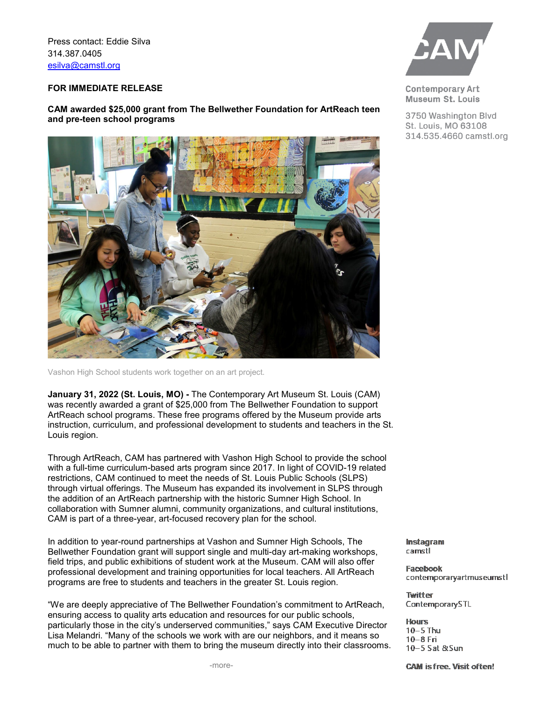Press contact: Eddie Silva 314.387.0405 [esilva@camstl.org](mailto:esilva@camstl.org)

## **FOR IMMEDIATE RELEASE**

**CAM awarded \$25,000 grant from The Bellwether Foundation for ArtReach teen and pre-teen school programs**



Vashon High School students work together on an art project.

**January 31, 2022 (St. Louis, MO) -** The Contemporary Art Museum St. Louis (CAM) was recently awarded a grant of \$25,000 from The Bellwether Foundation to support ArtReach school programs. These free programs offered by the Museum provide arts instruction, curriculum, and professional development to students and teachers in the St. Louis region.

Through ArtReach, CAM has partnered with Vashon High School to provide the school with a full-time curriculum-based arts program since 2017. In light of COVID-19 related restrictions, CAM continued to meet the needs of St. Louis Public Schools (SLPS) through virtual offerings. The Museum has expanded its involvement in SLPS through the addition of an ArtReach partnership with the historic Sumner High School. In collaboration with Sumner alumni, community organizations, and cultural institutions, CAM is part of a three-year, art-focused recovery plan for the school.

In addition to year-round partnerships at Vashon and Sumner High Schools, The Bellwether Foundation grant will support single and multi-day art-making workshops, field trips, and public exhibitions of student work at the Museum. CAM will also offer professional development and training opportunities for local teachers. All ArtReach programs are free to students and teachers in the greater St. Louis region.

"We are deeply appreciative of The Bellwether Foundation's commitment to ArtReach, ensuring access to quality arts education and resources for our public schools, particularly those in the city's underserved communities," says CAM Executive Director Lisa Melandri. "Many of the schools we work with are our neighbors, and it means so much to be able to partner with them to bring the museum directly into their classrooms.



**Contemporary Art** Museum St. Louis

3750 Washington Blvd St. Louis, MO 63108 314.535.4660 camstl.org

Instagram camstl

**Facebook** contemporaryartmuseumstl

**Twitter** ContemporarySTL

**Hours**  $10-5$  Thu  $10-8$  Fri 10-5 Sat &Sun